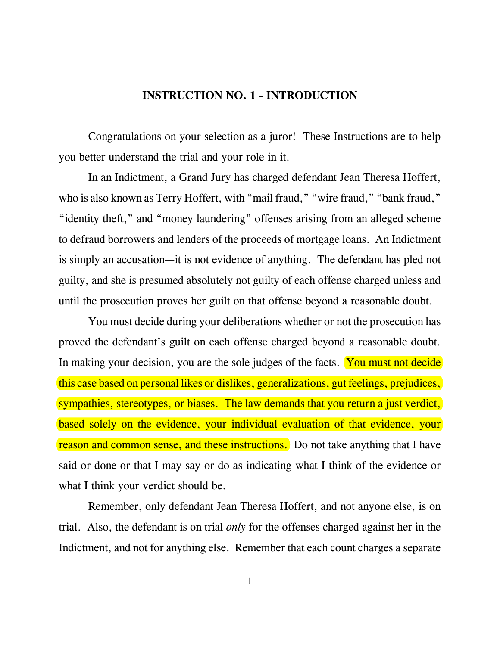## **INSTRUCTION NO. 1 - INTRODUCTION**

Congratulations on your selection as a juror! These Instructions are to help you better understand the trial and your role in it.

In an Indictment, a Grand Jury has charged defendant Jean Theresa Hoffert, who is also known as Terry Hoffert, with "mail fraud," "wire fraud," "bank fraud," "identity theft," and "money laundering" offenses arising from an alleged scheme to defraud borrowers and lenders of the proceeds of mortgage loans. An Indictment is simply an accusation—it is not evidence of anything. The defendant has pled not guilty, and she is presumed absolutely not guilty of each offense charged unless and until the prosecution proves her guilt on that offense beyond a reasonable doubt.

You must decide during your deliberations whether or not the prosecution has proved the defendant's guilt on each offense charged beyond a reasonable doubt. In making your decision, you are the sole judges of the facts. You must not decide this case based on personal likes or dislikes, generalizations, gut feelings, prejudices, sympathies, stereotypes, or biases. The law demands that you return a just verdict, based solely on the evidence, your individual evaluation of that evidence, your reason and common sense, and these instructions. Do not take anything that I have said or done or that I may say or do as indicating what I think of the evidence or what I think your verdict should be.

Remember, only defendant Jean Theresa Hoffert, and not anyone else, is on trial. Also, the defendant is on trial *only* for the offenses charged against her in the Indictment, and not for anything else. Remember that each count charges a separate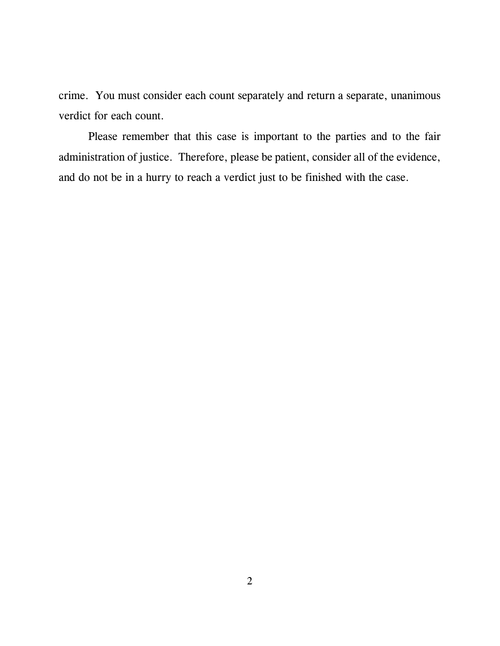crime. You must consider each count separately and return a separate, unanimous verdict for each count.

Please remember that this case is important to the parties and to the fair administration of justice. Therefore, please be patient, consider all of the evidence, and do not be in a hurry to reach a verdict just to be finished with the case.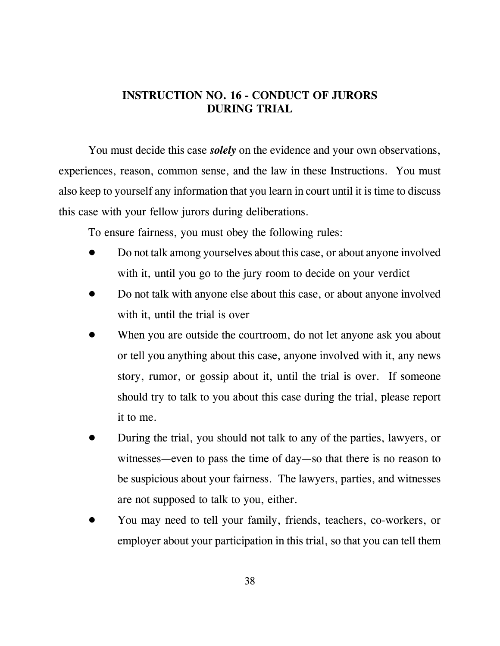## **INSTRUCTION NO. 16 - CONDUCT OF JURORS DURING TRIAL**

You must decide this case *solely* on the evidence and your own observations, experiences, reason, common sense, and the law in these Instructions. You must also keep to yourself any information that you learn in court until it is time to discuss this case with your fellow jurors during deliberations.

To ensure fairness, you must obey the following rules:

- ! Do not talk among yourselves about this case, or about anyone involved with it, until you go to the jury room to decide on your verdict
- ! Do not talk with anyone else about this case, or about anyone involved with it, until the trial is over
- When you are outside the courtroom, do not let anyone ask you about or tell you anything about this case, anyone involved with it, any news story, rumor, or gossip about it, until the trial is over. If someone should try to talk to you about this case during the trial, please report it to me.
- ! During the trial, you should not talk to any of the parties, lawyers, or witnesses—even to pass the time of day—so that there is no reason to be suspicious about your fairness. The lawyers, parties, and witnesses are not supposed to talk to you, either.
- ! You may need to tell your family, friends, teachers, co-workers, or employer about your participation in this trial, so that you can tell them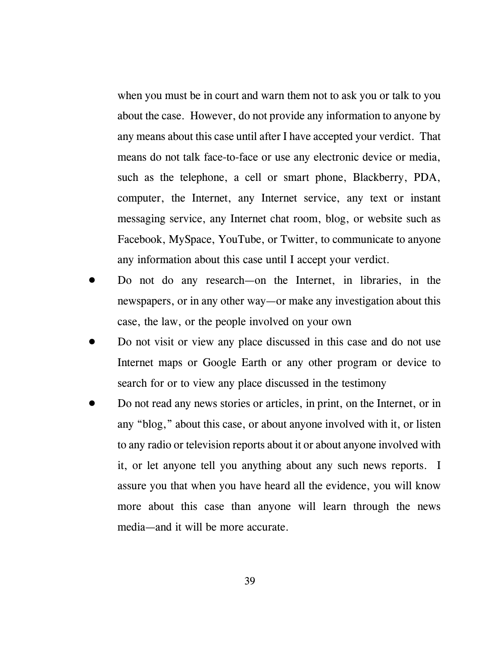when you must be in court and warn them not to ask you or talk to you about the case. However, do not provide any information to anyone by any means about this case until after I have accepted your verdict. That means do not talk face-to-face or use any electronic device or media, such as the telephone, a cell or smart phone, Blackberry, PDA, computer, the Internet, any Internet service, any text or instant messaging service, any Internet chat room, blog, or website such as Facebook, MySpace, YouTube, or Twitter, to communicate to anyone any information about this case until I accept your verdict.

- ! Do not do any research—on the Internet, in libraries, in the newspapers, or in any other way—or make any investigation about this case, the law, or the people involved on your own
- ! Do not visit or view any place discussed in this case and do not use Internet maps or Google Earth or any other program or device to search for or to view any place discussed in the testimony
- ! Do not read any news stories or articles, in print, on the Internet, or in any "blog," about this case, or about anyone involved with it, or listen to any radio or television reports about it or about anyone involved with it, or let anyone tell you anything about any such news reports. I assure you that when you have heard all the evidence, you will know more about this case than anyone will learn through the news media—and it will be more accurate.

39